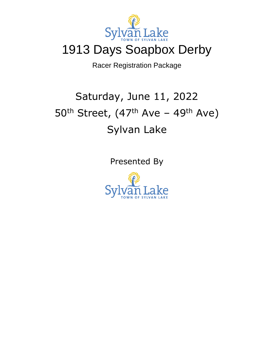

## 1913 Days Soapbox Derby

Racer Registration Package

# Saturday, June 11, 2022  $50<sup>th</sup> Street, (47<sup>th</sup> Ave - 49<sup>th</sup> Ave)$ Sylvan Lake

Presented By

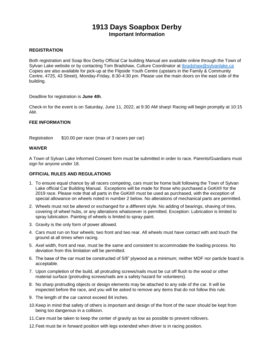### **1913 Days Soapbox Derby Important Information**

#### **REGISTRATION**

Both registration and Soap Box Derby Official Car building Manual are available online through the Town of Sylvan Lake website or by contacting Tom Bradshaw, Culture Coordinator at thradshaw@sylvanlake.ca Copies are also available for pick-up at the Flipside Youth Centre (upstairs in the Family & Community Centre, 4725, 43 Street), Monday-Friday, 8:30-4:30 pm. Please use the main doors on the east side of the building.

Deadline for registration is **June 4th**.

Check-in for the event is on Saturday, June 11, 2022, at 9:30 AM sharp! Racing will begin promptly at 10:15 AM.

#### **FEE INFORMATION**

Registration \$10.00 per racer (max of 3 racers per car)

#### **WAIVER**

A Town of Sylvan Lake Informed Consent form must be submitted in order to race. Parents/Guardians must sign for anyone under 18.

#### **OFFICIAL RULES AND REGULATIONS**

- 1. To ensure equal chance by all racers competing, cars must be home built following the Town of Sylvan Lake official Car Building Manual. Exceptions will be made for those who purchased a GoKit® for the 2019 race. Please note that all parts in the GoKit® must be used as purchased, with the exception of special allowance on wheels noted in number 2 below. No alterations of mechanical parts are permitted.
- 2. Wheels must not be altered or exchanged for a different style. No adding of bearings, shaving of tires, covering of wheel hubs, or any alterations whatsoever is permitted. Exception: Lubrication is limited to spray lubrication. Painting of wheels is limited to spray paint.
- 3. Gravity is the only form of power allowed.
- 4. Cars must run on four wheels; two front and two rear. All wheels must have contact with and touch the ground at all times when racing.
- 5. Axel width, front and rear, must be the same and consistent to accommodate the loading process. No deviation from this limitation will be permitted.
- 6. The base of the car must be constructed of 5/8" plywood as a minimum; neither MDF nor particle board is acceptable.
- 7. Upon completion of the build, all protruding screws/nails must be cut off flush to the wood or other material surface (protruding screws/nails are a safety hazard for volunteers).
- 8. No sharp protruding objects or design elements may be attached to any side of the car. It will be inspected before the race, and you will be asked to remove any items that do not follow this rule.
- 9. The length of the car cannot exceed 84 inches.
- 10.Keep in mind that safety of others is important and design of the front of the racer should be kept from being too dangerous in a collision.
- 11.Care must be taken to keep the center of gravity as low as possible to prevent rollovers.
- 12.Feet must be in forward position with legs extended when driver is in racing position.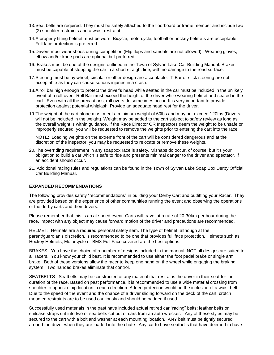- 13.Seat belts are required. They must be safely attached to the floorboard or frame member and include two (2) shoulder restraints and a waist restraint.
- 14.A properly fitting helmet must be worn. Bicycle, motorcycle, football or hockey helmets are acceptable. Full face protection is preferred.
- 15.Drivers must wear shoes during competition (Flip flops and sandals are not allowed). Wearing gloves, elbow and/or knee pads are optional but preferred.
- 16. Brakes must be one of the designs outlined in the Town of Sylvan Lake Car Building Manual. Brakes must be capable of stopping the car in a short straight line, with no damage to the road surface.
- 17.Steering must be by wheel; circular or other design are acceptable. T-Bar or stick steering are not acceptable as they can cause serious injuries in a crash.
- 18.A roll bar high enough to protect the driver's head while seated in the car must be included in the unlikely event of a roll-over. Roll Bar must exceed the height of the driver while wearing helmet and seated in the cart. Even with all the precautions, roll overs do sometimes occur. It is very important to provide protection against potential whiplash. Provide an adequate head rest for the driver.
- 19.The weight of the cart alone must meet a minimum weight of 60lbs and may not exceed 120Ibs (Drivers will not be included in the weight). Weight may be added to the cart subject to safety review as long as the overall weight is within guidance. If the Race Director OR Inspectors deem the weight to be unsafe or improperly secured, you will be requested to remove the weights prior to entering the cart into the race.

NOTE: Loading weights on the extreme front of the cart will be considered dangerous and at the discretion of the inspector, you may be requested to relocate or remove these weights.

- 20.The overriding requirement in any soapbox race is safety. Mishaps do occur, of course; but it's your obligation to build a car which is safe to ride and presents minimal danger to the driver and spectator, if an accident should occur.
- 21. Additional racing rules and regulations can be found in the Town of Sylvan Lake Soap Box Derby Official Car Building Manual.

#### **EXPANDED RECOMMENDATIONS**

The following provides safety "recommendations" in building your Derby Cart and outfitting your Racer. They are provided based on the experience of other communities running the event and observing the operations of the derby carts and their drivers.

Please remember that this is an at speed event. Carts will travel at a rate of 20-30km per hour during the race. Impact with any object may cause forward motion of the driver and precautions are recommended.

HELMET: Helmets are a required personal safety item. The type of helmet, although at the parent/guardian's discretion, is recommended to be one that provides full face protection. Helmets such as Hockey Helmets, Motorcycle or BMX Full Face covered are the best options.

BRAKES: You have the choice of a number of designs included in the manual. NOT all designs are suited to all racers. You know your child best. It is recommended to use either the foot pedal brake or single arm brake. Both of these versions allow the racer to keep one hand on the wheel while engaging the braking system. Two handed brakes eliminate that control.

SEATBELTS: Seatbelts may be constructed of any material that restrains the driver in their seat for the duration of the race. Based on past performance, it is recommended to use a wide material crossing from shoulder to opposite hip location in each direction. Added protection would be the inclusion of a waist belt. Due to the speed of the event and the chance of a driver sliding forward on the deck of the cart, crotch mounted restraints are to be used cautiously and should be padded if used.

Successfully used materials in the past have included actual retired car "racing" belts; leather belts or suitcase straps cut into two or seatbelts cut out of cars from an auto wrecker. Any of these styles may be secured to the cart with a bolt and washer at each mounting location. ANY belt must be tightly secured around the driver when they are loaded into the chute. Any car to have seatbelts that have deemed to have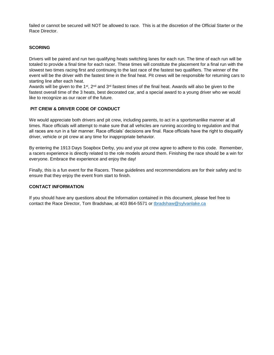failed or cannot be secured will NOT be allowed to race. This is at the discretion of the Official Starter or the Race Director.

#### **SCORING**

Drivers will be paired and run two qualifying heats switching lanes for each run. The time of each run will be totaled to provide a final time for each racer. These times will constitute the placement for a final run with the slowest two times racing first and continuing to the last race of the fastest two qualifiers. The winner of the event will be the driver with the fastest time in the final heat. Pit crews will be responsible for returning cars to starting line after each heat.

Awards will be given to the 1<sup>st</sup>, 2<sup>nd</sup> and 3<sup>rd</sup> fastest times of the final heat. Awards will also be given to the fastest overall time of the 3 heats, best decorated car, and a special award to a young driver who we would like to recognize as our racer of the future.

#### **PIT CREW & DRIVER CODE OF CONDUCT**

We would appreciate both drivers and pit crew, including parents, to act in a sportsmanlike manner at all times. Race officials will attempt to make sure that all vehicles are running according to regulation and that all races are run in a fair manner. Race officials' decisions are final. Race officials have the right to disqualify driver, vehicle or pit crew at any time for inappropriate behavior.

By entering the 1913 Days Soapbox Derby, you and your pit crew agree to adhere to this code. Remember, a racers experience is directly related to the role models around them. Finishing the race should be a win for everyone. Embrace the experience and enjoy the day!

Finally, this is a fun event for the Racers. These guidelines and recommendations are for their safety and to ensure that they enjoy the event from start to finish.

#### **CONTACT INFORMATION**

If you should have any questions about the Information contained in this document, please feel free to contact the Race Director, Tom Bradshaw, at 403 864-5571 or [tbradshaw@sylvanlake.ca](mailto:tbradshaw@sylvanlake.ca)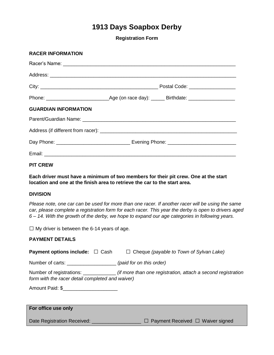## **1913 Days Soapbox Derby**

**Registration Form**

| <b>RACER INFORMATION</b>    |  |
|-----------------------------|--|
|                             |  |
|                             |  |
|                             |  |
|                             |  |
| <b>GUARDIAN INFORMATION</b> |  |
|                             |  |
|                             |  |
|                             |  |
|                             |  |
|                             |  |

**PIT CREW**

**RACER INFORMATION**

**Each driver must have a minimum of two members for their pit crew. One at the start location and one at the finish area to retrieve the car to the start area.** 

#### **DIVISION**

*Please note, one car can be used for more than one racer. If another racer will be using the same car, please complete a registration form for each racer. This year the derby is open to drivers aged 6 – 14. With the growth of the derby, we hope to expand our age categories in following years.* 

 $\Box$  My driver is between the 6-14 years of age.

#### **PAYMENT DETAILS**

| <b>Payment options include:</b> $\Box$ Cash      | $\Box$ Cheque (payable to Town of Sylvan Lake)                                                            |
|--------------------------------------------------|-----------------------------------------------------------------------------------------------------------|
| Number of carts: _______________________         | (paid for on this order)                                                                                  |
| form with the racer detail completed and waiver) | Number of registrations: ___________________ (if more than one registration, attach a second registration |
| Amount Paid: \$                                  |                                                                                                           |

#### **For office use only**

Date Registration Received: \_\_\_\_\_\_\_\_\_\_\_\_\_\_\_\_\_ □ Payment Received □ Waiver signed